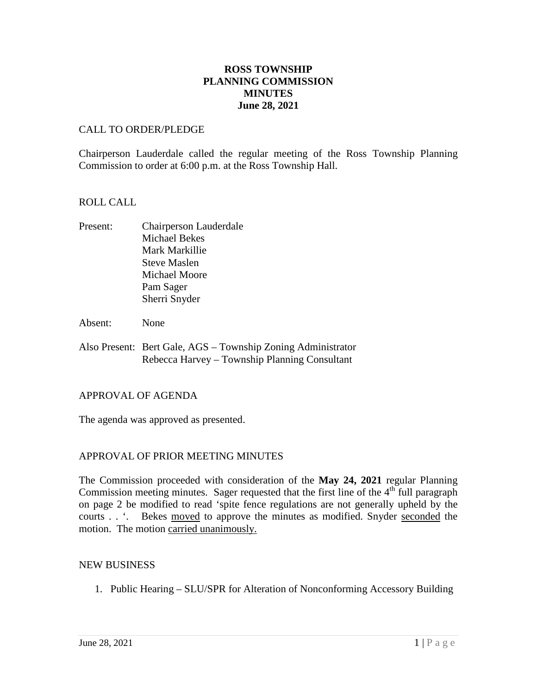## **ROSS TOWNSHIP PLANNING COMMISSION MINUTES June 28, 2021**

#### CALL TO ORDER/PLEDGE

Chairperson Lauderdale called the regular meeting of the Ross Township Planning Commission to order at 6:00 p.m. at the Ross Township Hall.

#### ROLL CALL

- Present: Chairperson Lauderdale Michael Bekes Mark Markillie Steve Maslen Michael Moore Pam Sager Sherri Snyder
- Absent: None
- Also Present: Bert Gale, AGS Township Zoning Administrator Rebecca Harvey – Township Planning Consultant

#### APPROVAL OF AGENDA

The agenda was approved as presented.

## APPROVAL OF PRIOR MEETING MINUTES

The Commission proceeded with consideration of the **May 24, 2021** regular Planning Commission meeting minutes. Sager requested that the first line of the  $4<sup>th</sup>$  full paragraph on page 2 be modified to read 'spite fence regulations are not generally upheld by the courts . . '. Bekes moved to approve the minutes as modified. Snyder seconded the motion. The motion carried unanimously.

#### NEW BUSINESS

1. Public Hearing – SLU/SPR for Alteration of Nonconforming Accessory Building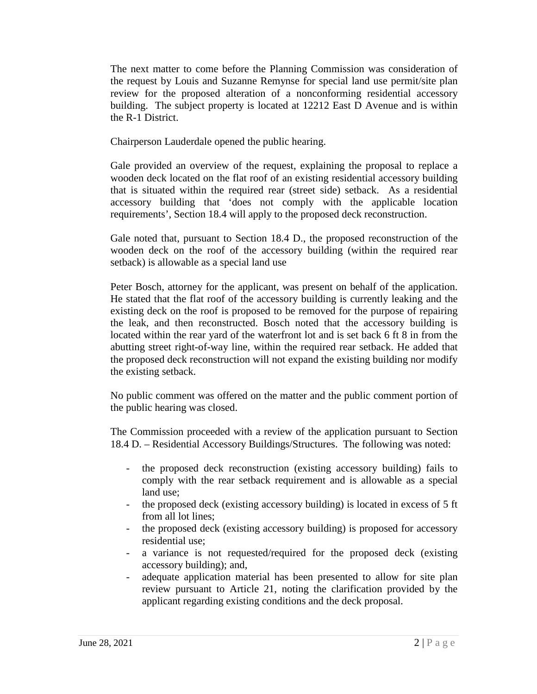The next matter to come before the Planning Commission was consideration of the request by Louis and Suzanne Remynse for special land use permit/site plan review for the proposed alteration of a nonconforming residential accessory building. The subject property is located at 12212 East D Avenue and is within the R-1 District.

Chairperson Lauderdale opened the public hearing.

Gale provided an overview of the request, explaining the proposal to replace a wooden deck located on the flat roof of an existing residential accessory building that is situated within the required rear (street side) setback. As a residential accessory building that 'does not comply with the applicable location requirements', Section 18.4 will apply to the proposed deck reconstruction.

Gale noted that, pursuant to Section 18.4 D., the proposed reconstruction of the wooden deck on the roof of the accessory building (within the required rear setback) is allowable as a special land use

Peter Bosch, attorney for the applicant, was present on behalf of the application. He stated that the flat roof of the accessory building is currently leaking and the existing deck on the roof is proposed to be removed for the purpose of repairing the leak, and then reconstructed. Bosch noted that the accessory building is located within the rear yard of the waterfront lot and is set back 6 ft 8 in from the abutting street right-of-way line, within the required rear setback. He added that the proposed deck reconstruction will not expand the existing building nor modify the existing setback.

No public comment was offered on the matter and the public comment portion of the public hearing was closed.

The Commission proceeded with a review of the application pursuant to Section 18.4 D. – Residential Accessory Buildings/Structures. The following was noted:

- the proposed deck reconstruction (existing accessory building) fails to comply with the rear setback requirement and is allowable as a special land use;
- the proposed deck (existing accessory building) is located in excess of 5 ft from all lot lines;
- the proposed deck (existing accessory building) is proposed for accessory residential use;
- a variance is not requested/required for the proposed deck (existing accessory building); and,
- adequate application material has been presented to allow for site plan review pursuant to Article 21, noting the clarification provided by the applicant regarding existing conditions and the deck proposal.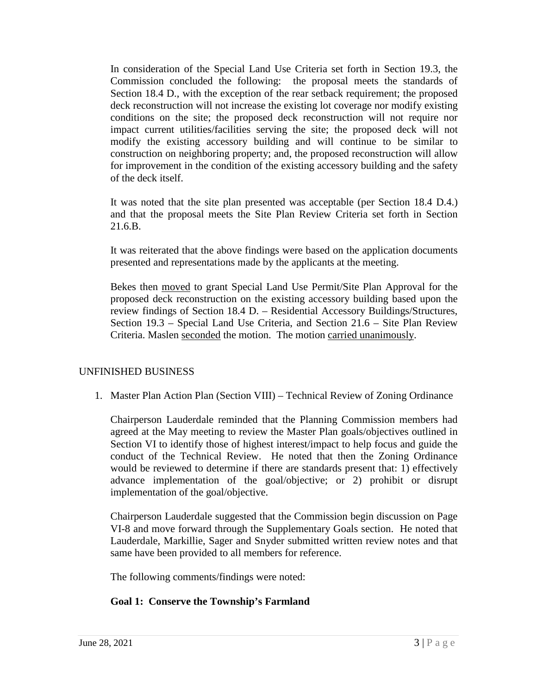In consideration of the Special Land Use Criteria set forth in Section 19.3, the Commission concluded the following: the proposal meets the standards of Section 18.4 D., with the exception of the rear setback requirement; the proposed deck reconstruction will not increase the existing lot coverage nor modify existing conditions on the site; the proposed deck reconstruction will not require nor impact current utilities/facilities serving the site; the proposed deck will not modify the existing accessory building and will continue to be similar to construction on neighboring property; and, the proposed reconstruction will allow for improvement in the condition of the existing accessory building and the safety of the deck itself.

It was noted that the site plan presented was acceptable (per Section 18.4 D.4.) and that the proposal meets the Site Plan Review Criteria set forth in Section 21.6.B.

It was reiterated that the above findings were based on the application documents presented and representations made by the applicants at the meeting.

Bekes then moved to grant Special Land Use Permit/Site Plan Approval for the proposed deck reconstruction on the existing accessory building based upon the review findings of Section 18.4 D. – Residential Accessory Buildings/Structures, Section 19.3 – Special Land Use Criteria, and Section 21.6 – Site Plan Review Criteria. Maslen seconded the motion. The motion carried unanimously.

## UNFINISHED BUSINESS

1. Master Plan Action Plan (Section VIII) – Technical Review of Zoning Ordinance

Chairperson Lauderdale reminded that the Planning Commission members had agreed at the May meeting to review the Master Plan goals/objectives outlined in Section VI to identify those of highest interest/impact to help focus and guide the conduct of the Technical Review. He noted that then the Zoning Ordinance would be reviewed to determine if there are standards present that: 1) effectively advance implementation of the goal/objective; or 2) prohibit or disrupt implementation of the goal/objective.

Chairperson Lauderdale suggested that the Commission begin discussion on Page VI-8 and move forward through the Supplementary Goals section. He noted that Lauderdale, Markillie, Sager and Snyder submitted written review notes and that same have been provided to all members for reference.

The following comments/findings were noted:

# **Goal 1: Conserve the Township's Farmland**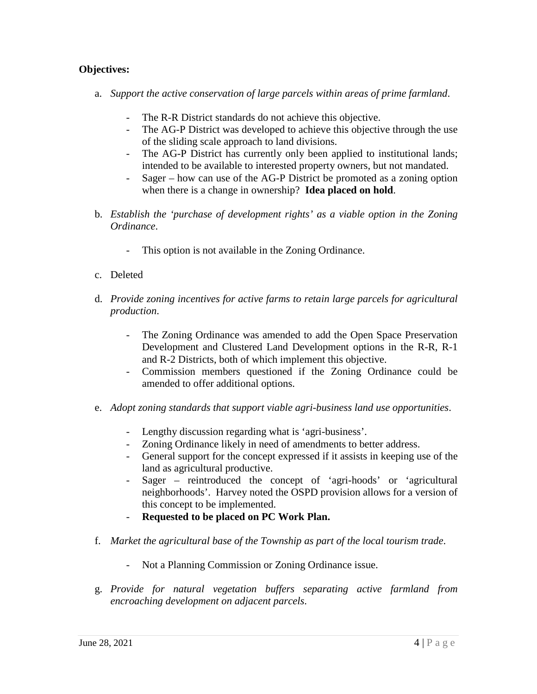## **Objectives:**

- a. *Support the active conservation of large parcels within areas of prime farmland*.
	- The R-R District standards do not achieve this objective.
	- The AG-P District was developed to achieve this objective through the use of the sliding scale approach to land divisions.
	- The AG-P District has currently only been applied to institutional lands; intended to be available to interested property owners, but not mandated.
	- Sager how can use of the AG-P District be promoted as a zoning option when there is a change in ownership? **Idea placed on hold**.
- b. *Establish the 'purchase of development rights' as a viable option in the Zoning Ordinance*.
	- This option is not available in the Zoning Ordinance.
- c. Deleted
- d. *Provide zoning incentives for active farms to retain large parcels for agricultural production*.
	- The Zoning Ordinance was amended to add the Open Space Preservation Development and Clustered Land Development options in the R-R, R-1 and R-2 Districts, both of which implement this objective.
	- Commission members questioned if the Zoning Ordinance could be amended to offer additional options.
- e. *Adopt zoning standards that support viable agri-business land use opportunities*.
	- Lengthy discussion regarding what is 'agri-business'.
	- Zoning Ordinance likely in need of amendments to better address.
	- General support for the concept expressed if it assists in keeping use of the land as agricultural productive.
	- Sager reintroduced the concept of 'agri-hoods' or 'agricultural neighborhoods'. Harvey noted the OSPD provision allows for a version of this concept to be implemented.
	- **Requested to be placed on PC Work Plan.**
- f. *Market the agricultural base of the Township as part of the local tourism trade*.
	- Not a Planning Commission or Zoning Ordinance issue.
- g. *Provide for natural vegetation buffers separating active farmland from encroaching development on adjacent parcels*.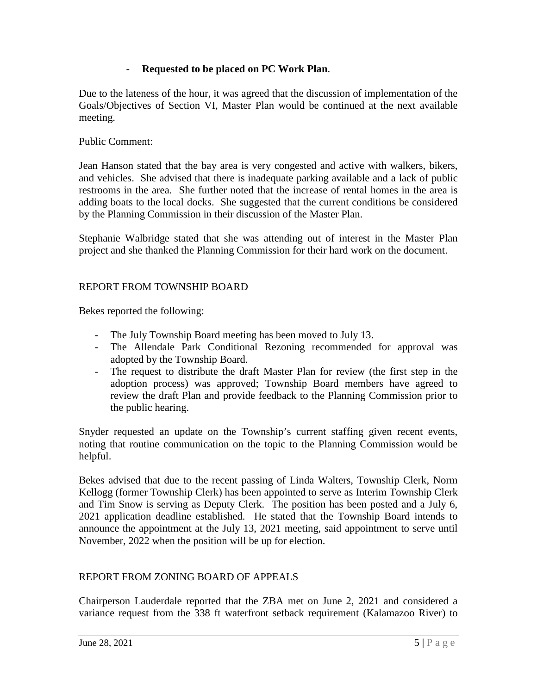## - **Requested to be placed on PC Work Plan**.

Due to the lateness of the hour, it was agreed that the discussion of implementation of the Goals/Objectives of Section VI, Master Plan would be continued at the next available meeting.

Public Comment:

Jean Hanson stated that the bay area is very congested and active with walkers, bikers, and vehicles. She advised that there is inadequate parking available and a lack of public restrooms in the area. She further noted that the increase of rental homes in the area is adding boats to the local docks. She suggested that the current conditions be considered by the Planning Commission in their discussion of the Master Plan.

Stephanie Walbridge stated that she was attending out of interest in the Master Plan project and she thanked the Planning Commission for their hard work on the document.

## REPORT FROM TOWNSHIP BOARD

Bekes reported the following:

- The July Township Board meeting has been moved to July 13.
- The Allendale Park Conditional Rezoning recommended for approval was adopted by the Township Board.
- The request to distribute the draft Master Plan for review (the first step in the adoption process) was approved; Township Board members have agreed to review the draft Plan and provide feedback to the Planning Commission prior to the public hearing.

Snyder requested an update on the Township's current staffing given recent events, noting that routine communication on the topic to the Planning Commission would be helpful.

Bekes advised that due to the recent passing of Linda Walters, Township Clerk, Norm Kellogg (former Township Clerk) has been appointed to serve as Interim Township Clerk and Tim Snow is serving as Deputy Clerk. The position has been posted and a July 6, 2021 application deadline established. He stated that the Township Board intends to announce the appointment at the July 13, 2021 meeting, said appointment to serve until November, 2022 when the position will be up for election.

# REPORT FROM ZONING BOARD OF APPEALS

Chairperson Lauderdale reported that the ZBA met on June 2, 2021 and considered a variance request from the 338 ft waterfront setback requirement (Kalamazoo River) to